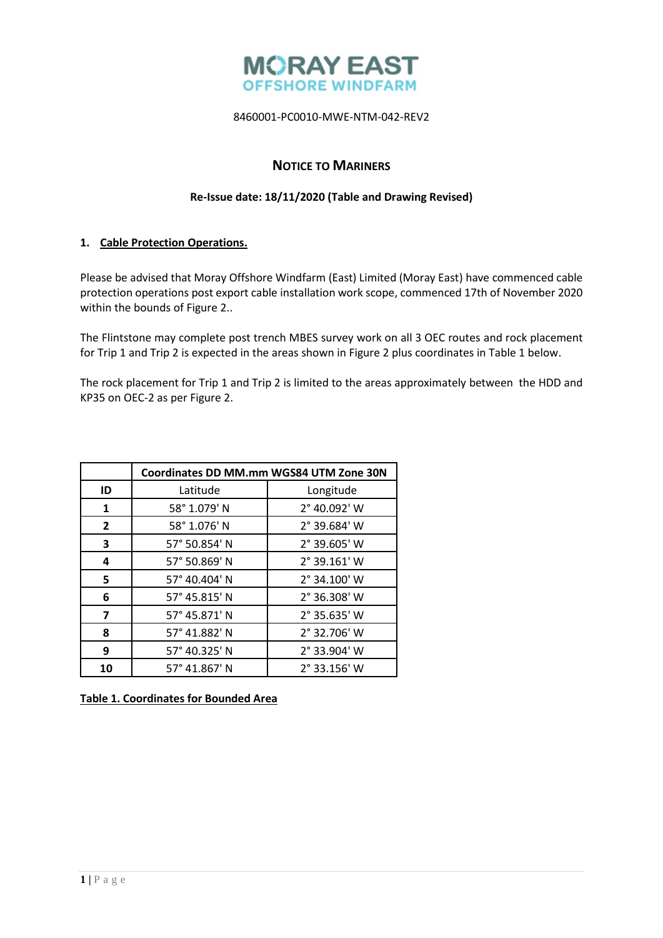

# **NOTICE TO MARINERS**

### **Re-Issue date: 18/11/2020 (Table and Drawing Revised)**

## **1. Cable Protection Operations.**

Please be advised that Moray Offshore Windfarm (East) Limited (Moray East) have commenced cable protection operations post export cable installation work scope, commenced 17th of November 2020 within the bounds of Figure 2..

The Flintstone may complete post trench MBES survey work on all 3 OEC routes and rock placement for Trip 1 and Trip 2 is expected in the areas shown in Figure 2 plus coordinates in Table 1 below.

The rock placement for Trip 1 and Trip 2 is limited to the areas approximately between the HDD and KP35 on OEC-2 as per Figure 2.

|                         | Coordinates DD MM.mm WGS84 UTM Zone 30N |                       |
|-------------------------|-----------------------------------------|-----------------------|
| ID                      | Latitude                                | Longitude             |
| 1                       | 58° 1.079' N                            | 2° 40.092' W          |
| $\overline{2}$          | 58° 1.076' N                            | 2° 39.684' W          |
| 3                       | 57° 50.854' N                           | 2° 39.605' W          |
| 4                       | 57° 50.869' N                           | 2° 39.161' W          |
| 5                       | 57° 40.404' N                           | 2° 34.100' W          |
| 6                       | 57° 45.815' N                           | 2° 36.308' W          |
| $\overline{\mathbf{z}}$ | 57° 45.871' N                           | 2° 35.635' W          |
| 8                       | 57° 41.882' N                           | $2^{\circ}$ 32.706' W |
| 9                       | 57° 40.325' N                           | 2° 33.904' W          |
| 10                      | 57° 41.867' N                           | $2^{\circ}$ 33.156' W |

**Table 1. Coordinates for Bounded Area**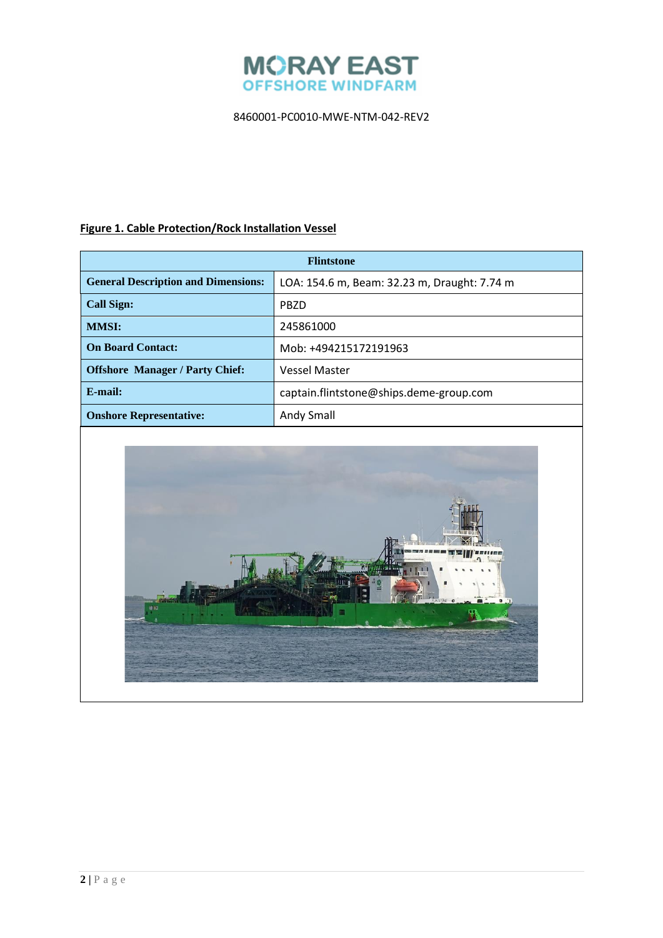

# **Figure 1. Cable Protection/Rock Installation Vessel**

| <b>Flintstone</b>                          |                                              |  |
|--------------------------------------------|----------------------------------------------|--|
| <b>General Description and Dimensions:</b> | LOA: 154.6 m, Beam: 32.23 m, Draught: 7.74 m |  |
| <b>Call Sign:</b>                          | PBZD                                         |  |
| <b>MMSI:</b>                               | 245861000                                    |  |
| <b>On Board Contact:</b>                   | Mob: +494215172191963                        |  |
| <b>Offshore Manager / Party Chief:</b>     | <b>Vessel Master</b>                         |  |
| E-mail:                                    | captain.flintstone@ships.deme-group.com      |  |
| <b>Onshore Representative:</b>             | Andy Small                                   |  |

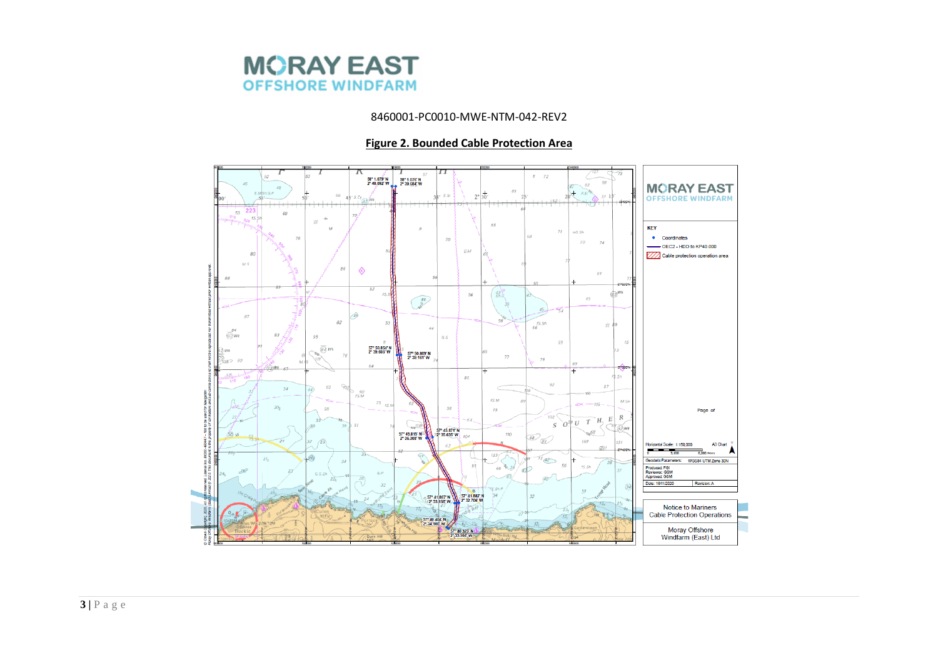

### **Figure 2. Bounded Cable Protection Area**